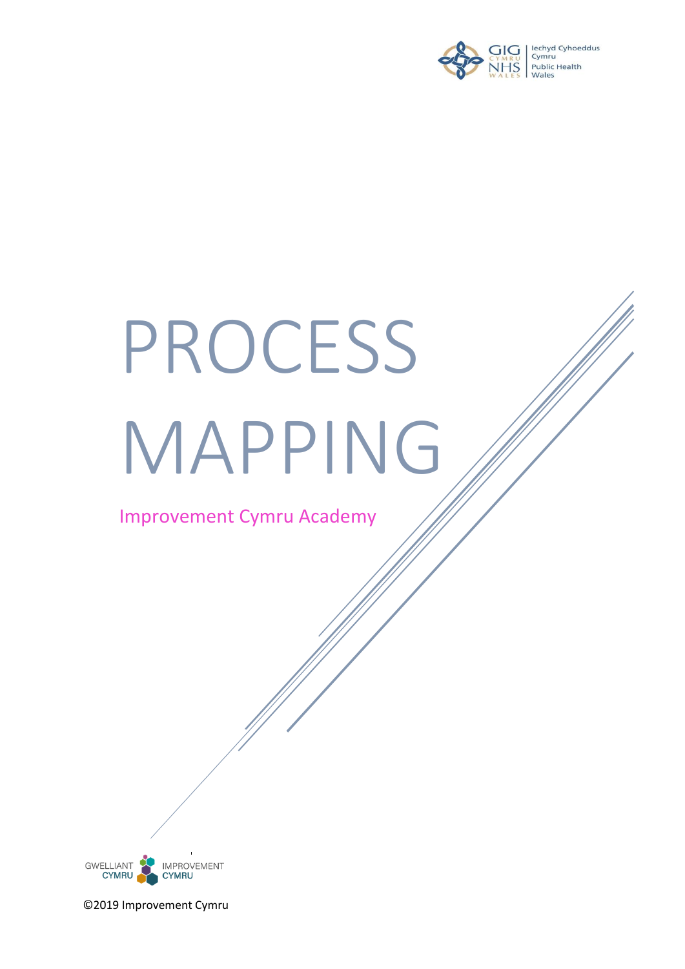

# PROCESS MAPPING

Improvement Cymru Academy

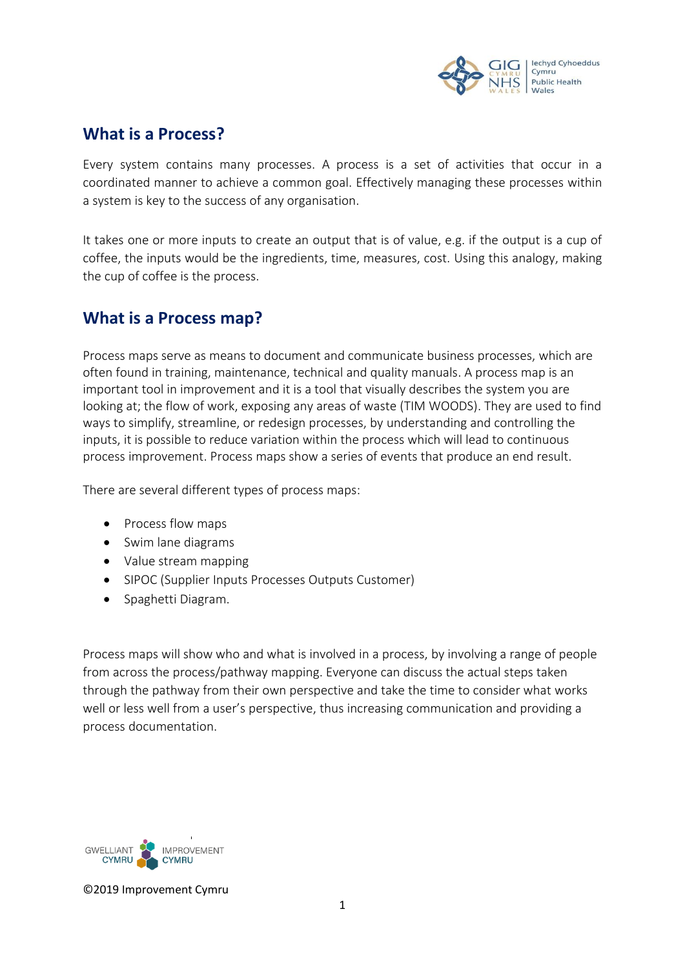

# **What is a Process?**

Every system contains many processes. A process is a set of activities that occur in a coordinated manner to achieve a common goal. Effectively managing these processes within a system is key to the success of any organisation.

It takes one or more inputs to create an output that is of value, e.g. if the output is a cup of coffee, the inputs would be the ingredients, time, measures, cost. Using this analogy, making the cup of coffee is the process.

# **What is a Process map?**

Process maps serve as means to document and communicate business processes, which are often found in training, maintenance, technical and quality manuals. A process map is an important tool in improvement and it is a tool that visually describes the system you are looking at; the flow of work, exposing any areas of waste (TIM WOODS). They are used to find ways to simplify, streamline, or redesign processes, by understanding and controlling the inputs, it is possible to reduce variation within the process which will lead to continuous process improvement. Process maps show a series of events that produce an end result.

There are several different types of process maps:

- Process flow maps
- Swim lane diagrams
- Value stream mapping
- SIPOC (Supplier Inputs Processes Outputs Customer)
- Spaghetti Diagram.

Process maps will show who and what is involved in a process, by involving a range of people from across the process/pathway mapping. Everyone can discuss the actual steps taken through the pathway from their own perspective and take the time to consider what works well or less well from a user's perspective, thus increasing communication and providing a process documentation.

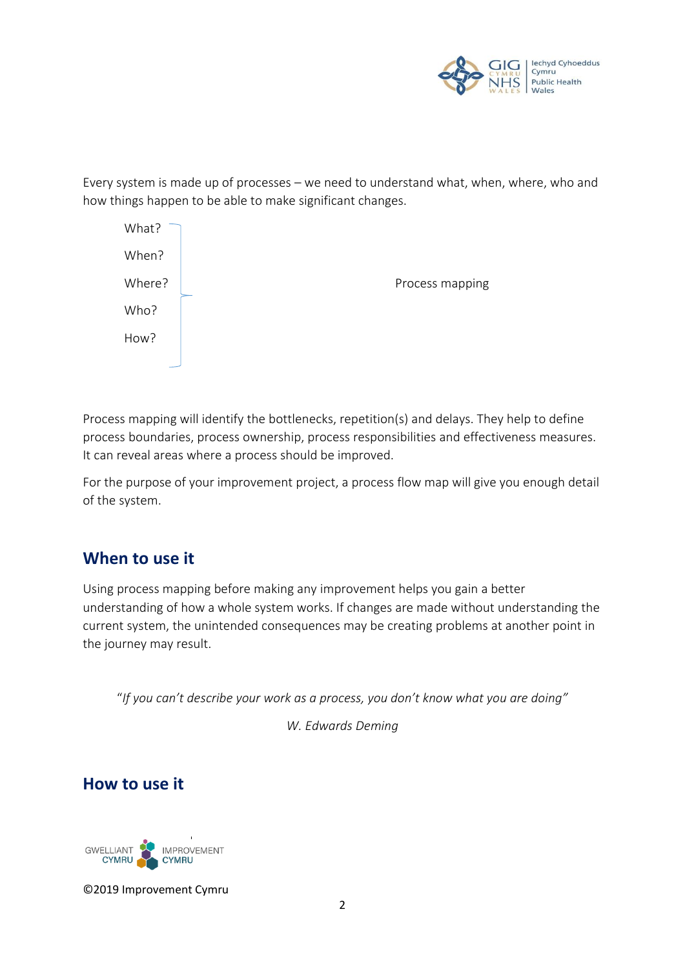

Every system is made up of processes – we need to understand what, when, where, who and how things happen to be able to make significant changes.



Process mapping will identify the bottlenecks, repetition(s) and delays. They help to define process boundaries, process ownership, process responsibilities and effectiveness measures. It can reveal areas where a process should be improved.

For the purpose of your improvement project, a process flow map will give you enough detail of the system.

# **When to use it**

Using process mapping before making any improvement helps you gain a better understanding of how a whole system works. If changes are made without understanding the current system, the unintended consequences may be creating problems at another point in the journey may result.

"*If you can't describe your work as a process, you don't know what you are doing"* 

*W. Edwards Deming*

**How to use it**

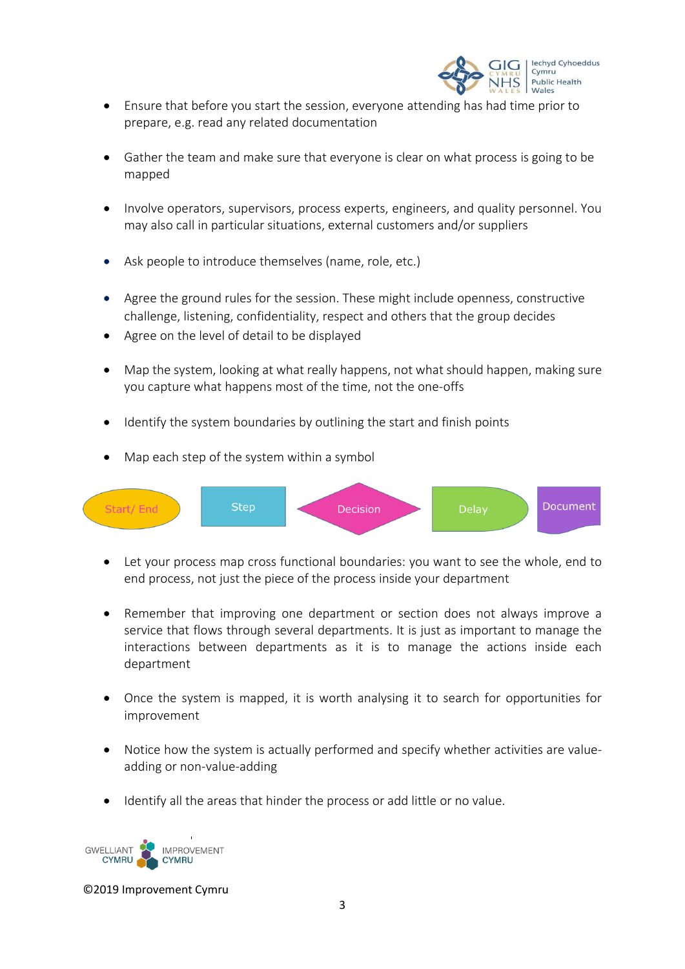

- Ensure that before you start the session, everyone attending has had time prior to prepare, e.g. read any related documentation
- Gather the team and make sure that everyone is clear on what process is going to be mapped
- Involve operators, supervisors, process experts, engineers, and quality personnel. You may also call in particular situations, external customers and/or suppliers
- Ask people to introduce themselves (name, role, etc.)
- Agree the ground rules for the session. These might include openness, constructive challenge, listening, confidentiality, respect and others that the group decides
- Agree on the level of detail to be displayed
- Map the system, looking at what really happens, not what should happen, making sure you capture what happens most of the time, not the one-offs
- Identify the system boundaries by outlining the start and finish points
- Map each step of the system within a symbol



- Let your process map cross functional boundaries: you want to see the whole, end to end process, not just the piece of the process inside your department
- Remember that improving one department or section does not always improve a service that flows through several departments. It is just as important to manage the interactions between departments as it is to manage the actions inside each department
- Once the system is mapped, it is worth analysing it to search for opportunities for improvement
- Notice how the system is actually performed and specify whether activities are valueadding or non-value-adding
- Identify all the areas that hinder the process or add little or no value.

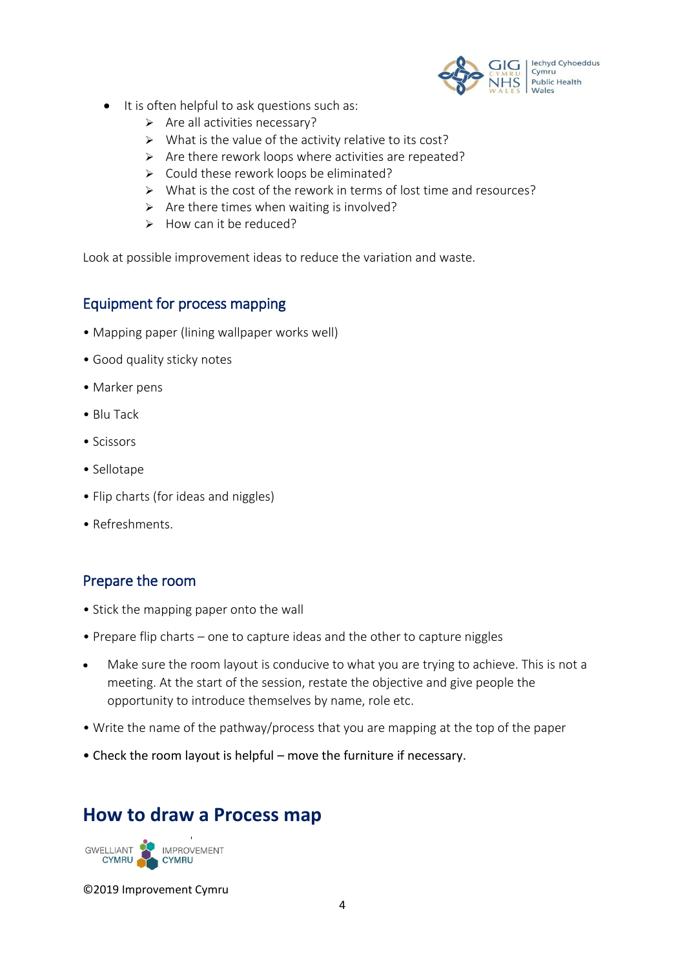

- It is often helpful to ask questions such as:
	- $\triangleright$  Are all activities necessary?
	- $\triangleright$  What is the value of the activity relative to its cost?
	- $\triangleright$  Are there rework loops where activities are repeated?
	- $\triangleright$  Could these rework loops be eliminated?
	- $\triangleright$  What is the cost of the rework in terms of lost time and resources?
	- $\triangleright$  Are there times when waiting is involved?
	- $\triangleright$  How can it be reduced?

Look at possible improvement ideas to reduce the variation and waste.

## Equipment for process mapping

- Mapping paper (lining wallpaper works well)
- Good quality sticky notes
- Marker pens
- Blu Tack
- Scissors
- Sellotape
- Flip charts (for ideas and niggles)
- Refreshments.

## Prepare the room

- Stick the mapping paper onto the wall
- Prepare flip charts one to capture ideas and the other to capture niggles
- Make sure the room layout is conducive to what you are trying to achieve. This is not a meeting. At the start of the session, restate the objective and give people the opportunity to introduce themselves by name, role etc.
- Write the name of the pathway/process that you are mapping at the top of the paper
- Check the room layout is helpful move the furniture if necessary.

# **How to draw a Process map**

GWELLIANT<br>CYMRU **IMPROVEMENT CYMRU**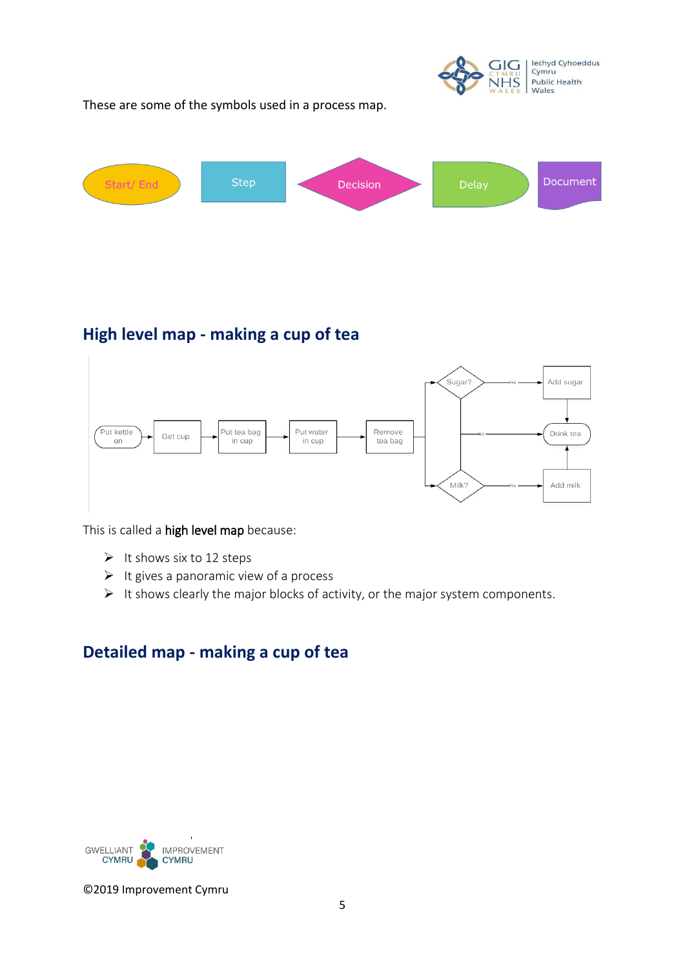lechyd Cyhoeddus<br>Cymru GIG Public Health VHS Wales

These are some of the symbols used in a process map.



# **High level map - making a cup of tea**



This is called a high level map because:

- $\triangleright$  It shows six to 12 steps
- $\triangleright$  It gives a panoramic view of a process
- $\triangleright$  It shows clearly the major blocks of activity, or the major system components.

# **Detailed map - making a cup of tea**